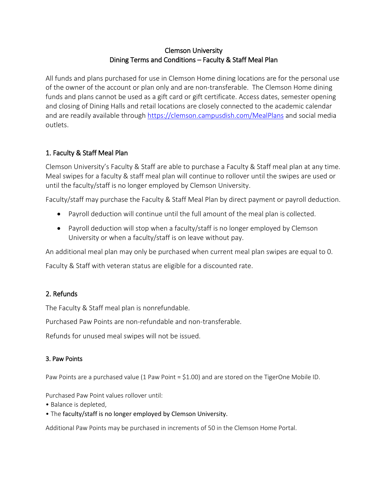## Clemson University Dining Terms and Conditions – Faculty & Staff Meal Plan

All funds and plans purchased for use in Clemson Home dining locations are for the personal use of the owner of the account or plan only and are non-transferable. The Clemson Home dining funds and plans cannot be used as a gift card or gift certificate. Access dates, semester opening and closing of Dining Halls and retail locations are closely connected to the academic calendar and are readily available through<https://clemson.campusdish.com/MealPlans> and social media outlets.

# 1. Faculty & Staff Meal Plan

Clemson University's Faculty & Staff are able to purchase a Faculty & Staff meal plan at any time. Meal swipes for a faculty & staff meal plan will continue to rollover until the swipes are used or until the faculty/staff is no longer employed by Clemson University.

Faculty/staff may purchase the Faculty & Staff Meal Plan by direct payment or payroll deduction.

- Payroll deduction will continue until the full amount of the meal plan is collected.
- Payroll deduction will stop when a faculty/staff is no longer employed by Clemson University or when a faculty/staff is on leave without pay.

An additional meal plan may only be purchased when current meal plan swipes are equal to 0.

Faculty & Staff with veteran status are eligible for a discounted rate.

# 2. Refunds

The Faculty & Staff meal plan is nonrefundable.

Purchased Paw Points are non-refundable and non-transferable.

Refunds for unused meal swipes will not be issued.

#### 3. Paw Points

Paw Points are a purchased value (1 Paw Point = \$1.00) and are stored on the TigerOne Mobile ID.

Purchased Paw Point values rollover until:

- Balance is depleted,
- The faculty/staff is no longer employed by Clemson University.

Additional Paw Points may be purchased in increments of 50 in the Clemson Home Portal.